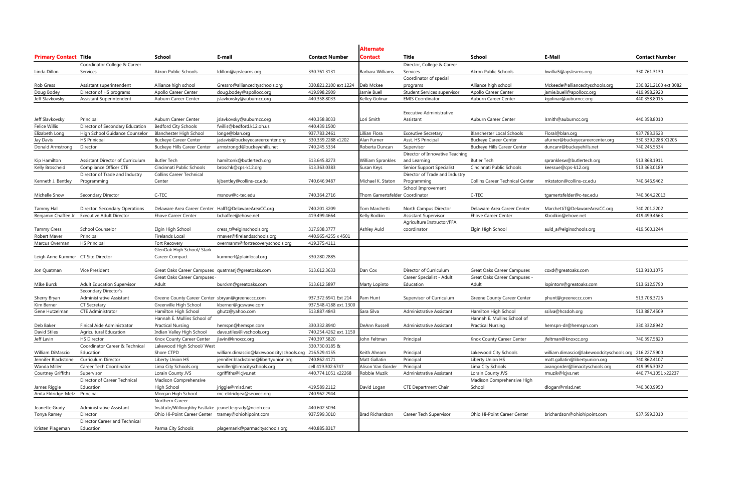|                                    |                                   |                                                        |                                          |                        | <b>Alternate</b>               |                                 |                                        |                                                       |                       |
|------------------------------------|-----------------------------------|--------------------------------------------------------|------------------------------------------|------------------------|--------------------------------|---------------------------------|----------------------------------------|-------------------------------------------------------|-----------------------|
| <b>Primary Contact Title</b>       |                                   | School                                                 | E-mail                                   | <b>Contact Number</b>  | Contact                        | Title                           | <b>School</b>                          | E-Mail                                                | <b>Contact Number</b> |
|                                    | Coordinator College & Career      |                                                        |                                          |                        |                                | Director, College & Career      |                                        |                                                       |                       |
| Linda Dillon                       | Services                          | Akron Public Schools                                   | ldillon@apslearns.org                    | 330.761.3131           | <b>Barbara Williams</b>        | Services                        | Akron Public Schools                   | bwillia5@apslearns.org                                | 330.761.3130          |
|                                    |                                   |                                                        |                                          |                        |                                | Coordinator of special          |                                        |                                                       |                       |
| Rob Gress                          | Assistant superintendent          | Alliance high school                                   | Gressro@alliancecityschools.org          | 330.821.2100 ext 1224  | Deb Mckee                      | programs                        | Alliance high school                   | Mckeede@alliancecityschools.org                       | 330.821.2100 ext 3082 |
| Doug Bodey                         | Director of HS programs           | Apollo Career Center                                   | doug.bodey@apollocc.org                  | 419.998.2909           | Jamie Buell                    | Student Services supervisor     | Apollo Career Center                   | jamie.buell@apollocc.org                              | 419.998.2920          |
| Jeff Slavkovsky                    | Assistant Superintendent          | Auburn Career Center                                   | jslavkovsky@auburncc.org                 | 440.358.8033           | Kelley Golinar                 | <b>EMIS Coordinator</b>         | Auburn Career Center                   | kgolinar@auburncc.org                                 | 440.358.8015          |
|                                    |                                   |                                                        |                                          |                        |                                |                                 |                                        |                                                       |                       |
|                                    |                                   |                                                        |                                          |                        |                                | <b>Executive Administrative</b> |                                        |                                                       |                       |
| Jeff Slavkovsky                    | Principal                         | Auburn Career Center                                   | jslavkovsky@auburncc.org                 | 440.358.8033           | Lori Smith                     | Assistant                       | Auburn Career Center                   | lsmith@auburncc.org                                   | 440.358.8010          |
| Felice Willis                      | Director of Secondary Education   | <b>Bedford City Schools</b>                            | fwillis@bedford.k12.oh.us                | 440.439.1500           |                                |                                 |                                        |                                                       |                       |
| Elizabeth Long                     | High School Guidance Counselor    | <b>Blanchester High School</b>                         | longe@blan.org                           | 937.783.2461           | Lillian Flora                  | <b>Exceutive Secretary</b>      | <b>Blanchester Local Schools</b>       | Floral@blan.org                                       | 937.783.3523          |
| Jay Davis                          | <b>HS Prinicpal</b>               | <b>Buckeye Career Center</b>                           | jadavis@buckeyecareercenter.org          | 330.339.2288 x1202     | Alan Furner                    | Asst. HS Principal              | <b>Buckeye Career Center</b>           | afurner@buckeyecareercenter.org                       | 330.339.2288 X1205    |
| Donald Armstrong                   | Director                          | <b>Buckeye Hills Career Center</b>                     | armstrongd@buckeyehills.net              | 740.245.5334           | Roberta Duncan                 | Supervisor                      | <b>Buckeye Hills Career Center</b>     | duncanr@buckeyehills.net                              | 740.245.5334          |
|                                    |                                   |                                                        |                                          |                        |                                | Director of Innovative Teaching |                                        |                                                       |                       |
| Kip Hamilton                       | Assistant Director of Curriculum  | <b>Butler Tech</b>                                     | hamiltonk@butlertech.org                 | 513.645.8273           | <b>William Sprankles</b>       | and Learning                    | <b>Butler Tech</b>                     | spranklesw@butlertech.org                             | 513.868.1911          |
| Kelly Broscheid                    | Compliance Officer CTE            | Cincinnati Public Schools                              | broschk@cps-k12.org                      | 513.363.0383           | Susan Keys                     | Senior Support Specialist       | Cincinnati Public Schools              | keessue@cps-k12.org                                   | 513.363.0189          |
|                                    | Director of Trade and Industry    | <b>Collins Career Technical</b>                        |                                          |                        |                                | Director of Trade and Industry  |                                        |                                                       |                       |
| Kenneth J. Bentley                 | Programming                       | Center                                                 | kjbentley@collins-cc.edu                 | 740.646.9487           | Michael K. Staton              | Programming                     | <b>Collins Career Technical Center</b> | mkstaton@collins-cc.edu                               | 740.646.9462          |
|                                    |                                   |                                                        |                                          |                        |                                | School Improvement              |                                        |                                                       |                       |
| Michelle Snow                      | Secondary Director                | C-TEC                                                  | msnow@c-tec.edu                          | 740.364.2716           | Thom Gamertsfelder Coordinator |                                 | C-TEC                                  | tgamertsfelder@c-tec.edu                              | 740.364.22013         |
|                                    |                                   |                                                        |                                          |                        |                                |                                 |                                        |                                                       |                       |
| <b>Tammy Hall</b>                  | Director, Secondary Operations    | Delaware Area Career Center HallT@DelawareAreaCC.org   |                                          | 740.201.3209           | Tom Marchetti                  | North Campus Director           | Delaware Area Career Center            | MarchettiT@DelawareAreaCC.org                         | 740.201.2202          |
| Benjamin Chaffee Jr                | <b>Executive Adult Director</b>   | <b>Ehove Career Center</b>                             | bchaffee@ehove.net                       | 419.499.4664           | Kelly Bodkin                   | <b>Assistant Supervisor</b>     | <b>Ehove Career Center</b>             | Kbodkin@ehove.net                                     | 419.499.4663          |
|                                    |                                   |                                                        |                                          |                        |                                | Agriculture Instructor/FFA      |                                        |                                                       |                       |
| <b>Tammy Cress</b>                 | School Counselor                  | Elgin High School                                      | cress_t@elginschools.org                 | 317.938.3777           | Ashley Auld                    | coordinator                     | Elgin High School                      | auld_a@elginschools.org                               | 419.560.1244          |
| Robert Maver                       | Principal                         | Firelands Local                                        | rmaver@firelandsschools.org              | 440.965.4255 x 4501    |                                |                                 |                                        |                                                       |                       |
| Marcus Overman                     | <b>HS Principal</b>               | Fort Recovery                                          | overmanm@fortrecoveryschools.org         | 419.375.4111           |                                |                                 |                                        |                                                       |                       |
|                                    |                                   | GlenOak High School/ Stark                             |                                          |                        |                                |                                 |                                        |                                                       |                       |
| Leigh Anne Kummer CT Site Director |                                   | Career Compact                                         | kummerl@plainlocal.org                   | 330.280.2885           |                                |                                 |                                        |                                                       |                       |
|                                    |                                   |                                                        |                                          |                        |                                |                                 |                                        |                                                       |                       |
| Jon Quatman                        | Vice President                    | Great Oaks Career Campuses quatmanj@greatoaks.com      |                                          | 513.612.3633           | Dan Cox                        | Director of Curriculum          | <b>Great Oaks Career Campuses</b>      | coxd@greatoaks.com                                    | 513.910.1075          |
|                                    |                                   | <b>Great Oaks Career Campuses</b>                      |                                          |                        |                                | Career Specialist - Adult       | Great Oaks Career Campuses -           |                                                       |                       |
| MIke Burck                         | <b>Adult Education Supervisor</b> | Adult                                                  | burckm@greatoaks.com                     | 513.612.5897           | Marty Lopinto                  | Education                       | Adult                                  | lopintom@greatoaks.com                                | 513.612.5790          |
|                                    | Secondary Director's              |                                                        |                                          |                        |                                |                                 |                                        |                                                       |                       |
| Sherry Bryan                       | Administrative Assistant          | Greene County Career Center sbryan@greeneccc.com       |                                          | 937.372.6941 Ext 214   | Pam Hunt                       | Supervisor of Curriculum        | <b>Greene County Career Center</b>     | phunt@greeneccc.com                                   | 513.708.3726          |
| Kim Berner                         | <b>CT Secretary</b>               | Greenville High School                                 | kberner@gcswave.com                      | 937.548.4188 ext. 1300 |                                |                                 |                                        |                                                       |                       |
| Gene Hutzelman                     | <b>CTE Administrator</b>          | Hamilton High School                                   | ghutz@yahoo.com                          | 513.887.4843           | Sara Silva                     | <b>Administrative Assistant</b> | Hamilton High School                   | ssilva@hcsdoh.org                                     | 513.887.4509          |
|                                    |                                   | Hannah E. Mullins School of                            |                                          |                        |                                |                                 | Hannah E. Mullins School of            |                                                       |                       |
| Deb Baker                          | Finical Aide Administrator        | <b>Practical Nursing</b>                               | hemspn@hemspn.com                        | 330.332.8940           | DeAnn Russell                  | Administrative Assistant        | <b>Practical Nursing</b>               | hemspn-dr@hemspn.com                                  | 330.332.8942          |
| David Stiles                       | <b>Agricultural Education</b>     | Indian Valley High School                              | dave.stiles@ivschools.org                | 740.254.4262 ext. 1150 |                                |                                 |                                        |                                                       |                       |
| Jeff Lavin                         | <b>HS Director</b>                | Knox County Career Center                              | jlavin@knoxcc.org                        | 740.397.5820           | John Feltman                   | Principal                       | Knox County Career Center              | jfeltman@knoxcc.org                                   | 740.397.5820          |
|                                    | Coordinator Career & Technical    | Lakewood High School/ West                             |                                          | 330.730.0185 &         |                                |                                 |                                        |                                                       |                       |
| William DiMascio                   | Education                         | Shore CTPD                                             | william.dimascio@lakewoodcityschools.org | 216.529.4155           | Keith Ahearn                   | Principal                       | Lakewood City Schools                  | william.dimascio@lakewoodcityschools.org 216.227.5900 |                       |
| Jennifer Blackstone                | Curriculum Director               | Liberty Union HS                                       | jennifer.blackstone@libertyunion.org     | 740.862.4171           | Matt Gallatin                  | Principal                       | Liberty Union HS                       | matt.gallatin@libertyunion.org                        | 740.862.4107          |
| Wanda Miller                       | Career Tech Coordinator           | Lima City Schools.org                                  | wmiller@limacityschools.org              | cell 419.302.6747      | Alison Van Gorder              | Principal                       | Lima City Schools                      | avangorder@limacityschools.org                        | 419.996.3032          |
| <b>Courtney Griffiths</b>          | Supervisor                        | Lorain County JVS                                      | cqriffiths@lcjvs.net                     | 440.774.1051 x22268    | Robbie Muzik                   | <b>Administrative Assistant</b> | Lorain County JVS                      | rmuzik@lcjvs.net                                      | 440.774.1051 x22237   |
|                                    | Director of Career Technical      | Madison Comprehensive                                  |                                          |                        |                                |                                 | Madison Comprehensive High             |                                                       |                       |
| James Riggle                       | Education                         | High School                                            | jriggle@mlsd.net                         | 419.589.2112           | David Logan                    | <b>CTE Department Chair</b>     | School                                 | dlogan@mlsd.net                                       | 740.360.9950          |
| Anita Eldridge-Metz Principal      |                                   | Morgan High School                                     | mc-eldridgea@seovec.org                  | 740.962.2944           |                                |                                 |                                        |                                                       |                       |
|                                    |                                   | Northern Career                                        |                                          |                        |                                |                                 |                                        |                                                       |                       |
| Jeanette Grady                     | <b>Administrative Assistant</b>   | Institute/Willoughby Eastlake jeanette.grady@ncioh.ecu |                                          | 440.602.5094           |                                |                                 |                                        |                                                       |                       |
| Tonya Ramey                        | Director                          | Ohio Hi-Point Career Center tramey@ohiohipoint.com     |                                          | 937.599.3010           | <b>Brad Richardson</b>         | Career Tech Supervisor          | Ohio Hi-Point Career Center            | brichardson@ohiohipoint.com                           | 937.599.3010          |
|                                    | Director Career and Technical     |                                                        |                                          |                        |                                |                                 |                                        |                                                       |                       |
| Kristen Plageman                   | Education                         | Parma City Schools                                     | plagemank@parmacityschools.org           | 440.885.8317           |                                |                                 |                                        |                                                       |                       |
|                                    |                                   |                                                        |                                          |                        |                                |                                 |                                        |                                                       |                       |